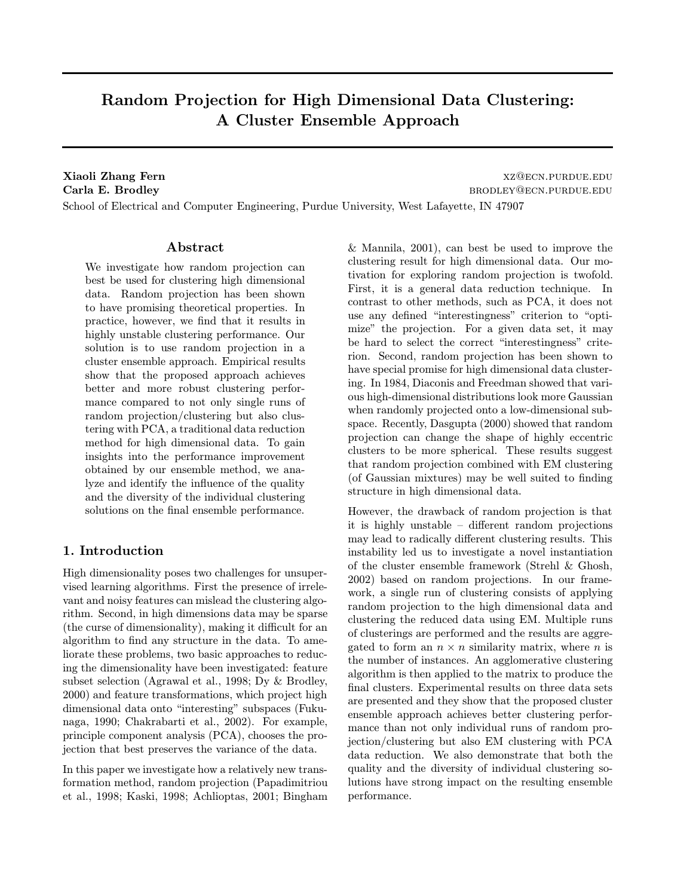# Random Projection for High Dimensional Data Clustering: A Cluster Ensemble Approach

Xiaoli Zhang Fern XZ@ECN.PURDUE.EDU Carla E. Brodley brodley bronch and the extension of the extension of the extension of the extension of the extension of the extension of the extension of the extension of the extension of the extension of the extension of

School of Electrical and Computer Engineering, Purdue University, West Lafayette, IN 47907

## Abstract

We investigate how random projection can best be used for clustering high dimensional data. Random projection has been shown to have promising theoretical properties. In practice, however, we find that it results in highly unstable clustering performance. Our solution is to use random projection in a cluster ensemble approach. Empirical results show that the proposed approach achieves better and more robust clustering performance compared to not only single runs of random projection/clustering but also clustering with PCA, a traditional data reduction method for high dimensional data. To gain insights into the performance improvement obtained by our ensemble method, we analyze and identify the influence of the quality and the diversity of the individual clustering solutions on the final ensemble performance.

## 1. Introduction

High dimensionality poses two challenges for unsupervised learning algorithms. First the presence of irrelevant and noisy features can mislead the clustering algorithm. Second, in high dimensions data may be sparse (the curse of dimensionality), making it difficult for an algorithm to find any structure in the data. To ameliorate these problems, two basic approaches to reducing the dimensionality have been investigated: feature subset selection (Agrawal et al., 1998; Dy & Brodley, 2000) and feature transformations, which project high dimensional data onto "interesting" subspaces (Fukunaga, 1990; Chakrabarti et al., 2002). For example, principle component analysis (PCA), chooses the projection that best preserves the variance of the data.

In this paper we investigate how a relatively new transformation method, random projection (Papadimitriou et al., 1998; Kaski, 1998; Achlioptas, 2001; Bingham & Mannila, 2001), can best be used to improve the clustering result for high dimensional data. Our motivation for exploring random projection is twofold. First, it is a general data reduction technique. In contrast to other methods, such as PCA, it does not use any defined "interestingness" criterion to "optimize" the projection. For a given data set, it may be hard to select the correct "interestingness" criterion. Second, random projection has been shown to have special promise for high dimensional data clustering. In 1984, Diaconis and Freedman showed that various high-dimensional distributions look more Gaussian when randomly projected onto a low-dimensional subspace. Recently, Dasgupta (2000) showed that random projection can change the shape of highly eccentric clusters to be more spherical. These results suggest that random projection combined with EM clustering (of Gaussian mixtures) may be well suited to finding structure in high dimensional data.

However, the drawback of random projection is that it is highly unstable – different random projections may lead to radically different clustering results. This instability led us to investigate a novel instantiation of the cluster ensemble framework (Strehl & Ghosh, 2002) based on random projections. In our framework, a single run of clustering consists of applying random projection to the high dimensional data and clustering the reduced data using EM. Multiple runs of clusterings are performed and the results are aggregated to form an  $n \times n$  similarity matrix, where *n* is the number of instances. An agglomerative clustering algorithm is then applied to the matrix to produce the final clusters. Experimental results on three data sets are presented and they show that the proposed cluster ensemble approach achieves better clustering performance than not only individual runs of random projection/clustering but also EM clustering with PCA data reduction. We also demonstrate that both the quality and the diversity of individual clustering solutions have strong impact on the resulting ensemble performance.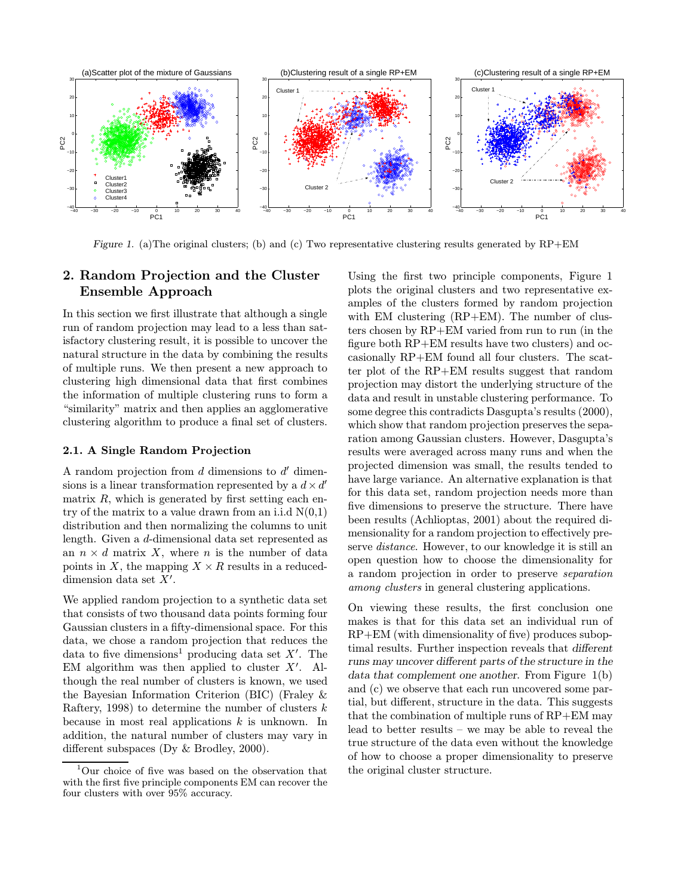

Figure 1. (a) The original clusters; (b) and (c) Two representative clustering results generated by  $RP+EM$ 

## 2. Random Projection and the Cluster Ensemble Approach

In this section we first illustrate that although a single run of random projection may lead to a less than satisfactory clustering result, it is possible to uncover the natural structure in the data by combining the results of multiple runs. We then present a new approach to clustering high dimensional data that first combines the information of multiple clustering runs to form a "similarity" matrix and then applies an agglomerative clustering algorithm to produce a final set of clusters.

#### 2.1. A Single Random Projection

A random projection from  $d$  dimensions to  $d'$  dimensions is a linear transformation represented by a  $d \times d'$ matrix  $R$ , which is generated by first setting each entry of the matrix to a value drawn from an i.i.d  $N(0,1)$ distribution and then normalizing the columns to unit length. Given a d-dimensional data set represented as an  $n \times d$  matrix X, where n is the number of data points in X, the mapping  $X \times R$  results in a reduceddimension data set  $X'$ .

We applied random projection to a synthetic data set that consists of two thousand data points forming four Gaussian clusters in a fifty-dimensional space. For this data, we chose a random projection that reduces the data to five dimensions<sup>1</sup> producing data set  $X'$ . The EM algorithm was then applied to cluster  $X'$ . Although the real number of clusters is known, we used the Bayesian Information Criterion (BIC) (Fraley & Raftery, 1998) to determine the number of clusters  $k$ because in most real applications  $k$  is unknown. In addition, the natural number of clusters may vary in different subspaces (Dy & Brodley, 2000).

Using the first two principle components, Figure 1 plots the original clusters and two representative examples of the clusters formed by random projection with EM clustering (RP+EM). The number of clusters chosen by RP+EM varied from run to run (in the figure both RP+EM results have two clusters) and occasionally RP+EM found all four clusters. The scatter plot of the RP+EM results suggest that random projection may distort the underlying structure of the data and result in unstable clustering performance. To some degree this contradicts Dasgupta's results (2000), which show that random projection preserves the separation among Gaussian clusters. However, Dasgupta's results were averaged across many runs and when the projected dimension was small, the results tended to have large variance. An alternative explanation is that for this data set, random projection needs more than five dimensions to preserve the structure. There have been results (Achlioptas, 2001) about the required dimensionality for a random projection to effectively preserve distance. However, to our knowledge it is still an open question how to choose the dimensionality for a random projection in order to preserve separation among clusters in general clustering applications.

On viewing these results, the first conclusion one makes is that for this data set an individual run of RP+EM (with dimensionality of five) produces suboptimal results. Further inspection reveals that different runs may uncover different parts of the structure in the data that complement one another. From Figure 1(b) and (c) we observe that each run uncovered some partial, but different, structure in the data. This suggests that the combination of multiple runs of RP+EM may lead to better results – we may be able to reveal the true structure of the data even without the knowledge of how to choose a proper dimensionality to preserve the original cluster structure.

<sup>1</sup>Our choice of five was based on the observation that with the first five principle components EM can recover the four clusters with over 95% accuracy.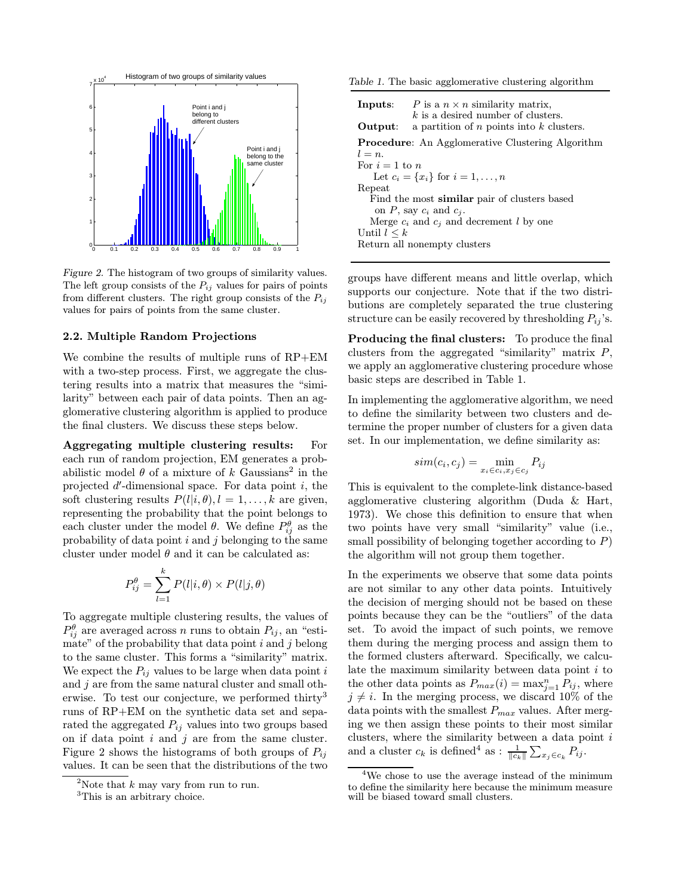

Figure 2. The histogram of two groups of similarity values. The left group consists of the  $P_{ij}$  values for pairs of points from different clusters. The right group consists of the  $P_{ij}$ values for pairs of points from the same cluster.

#### 2.2. Multiple Random Projections

We combine the results of multiple runs of RP+EM with a two-step process. First, we aggregate the clustering results into a matrix that measures the "similarity" between each pair of data points. Then an agglomerative clustering algorithm is applied to produce the final clusters. We discuss these steps below.

Aggregating multiple clustering results: For each run of random projection, EM generates a probabilistic model  $\theta$  of a mixture of k Gaussians<sup>2</sup> in the projected  $d'$ -dimensional space. For data point  $i$ , the soft clustering results  $P(l|i, \theta), l = 1, \ldots, k$  are given, representing the probability that the point belongs to each cluster under the model  $\theta$ . We define  $P_{ij}^{\theta}$  as the probability of data point  $i$  and  $j$  belonging to the same cluster under model  $\theta$  and it can be calculated as:

$$
P_{ij}^{\theta} = \sum_{l=1}^{k} P(l|i, \theta) \times P(l|j, \theta)
$$

To aggregate multiple clustering results, the values of  $P_{ij}^{\theta}$  are averaged across n runs to obtain  $P_{ij}$ , an "estimate" of the probability that data point  $i$  and  $j$  belong to the same cluster. This forms a "similarity" matrix. We expect the  $P_{ij}$  values to be large when data point i and  $j$  are from the same natural cluster and small otherwise. To test our conjecture, we performed thirty<sup>3</sup> runs of RP+EM on the synthetic data set and separated the aggregated  $P_{ij}$  values into two groups based on if data point  $i$  and  $j$  are from the same cluster. Figure 2 shows the histograms of both groups of  $P_{ij}$ values. It can be seen that the distributions of the two

Table 1. The basic agglomerative clustering algorithm

|                                                         | <b>Inputs:</b> $P$ is a $n \times n$ similarity matrix,<br>$k$ is a desired number of clusters. |  |  |  |  |
|---------------------------------------------------------|-------------------------------------------------------------------------------------------------|--|--|--|--|
| Output:<br>a partition of $n$ points into $k$ clusters. |                                                                                                 |  |  |  |  |
|                                                         | <b>Procedure:</b> An Agglomerative Clustering Algorithm                                         |  |  |  |  |
| $l = n$ .                                               |                                                                                                 |  |  |  |  |
| For $i=1$ to n                                          |                                                                                                 |  |  |  |  |
|                                                         | Let $c_i = \{x_i\}$ for $i = 1, , n$                                                            |  |  |  |  |
| Repeat                                                  |                                                                                                 |  |  |  |  |
|                                                         | Find the most <b>similar</b> pair of clusters based                                             |  |  |  |  |
|                                                         | on P, say $c_i$ and $c_j$ .                                                                     |  |  |  |  |
|                                                         | Merge $c_i$ and $c_j$ and decrement l by one                                                    |  |  |  |  |
| Until $l \leq k$                                        |                                                                                                 |  |  |  |  |
|                                                         | Return all nonempty clusters                                                                    |  |  |  |  |

groups have different means and little overlap, which supports our conjecture. Note that if the two distributions are completely separated the true clustering structure can be easily recovered by thresholding  $P_{ij}$ 's.

Producing the final clusters: To produce the final clusters from the aggregated "similarity" matrix  $P$ , we apply an agglomerative clustering procedure whose basic steps are described in Table 1.

In implementing the agglomerative algorithm, we need to define the similarity between two clusters and determine the proper number of clusters for a given data set. In our implementation, we define similarity as:

$$
sim(c_i, c_j) = \min_{x_i \in c_i, x_j \in c_j} P_{ij}
$$

This is equivalent to the complete-link distance-based agglomerative clustering algorithm (Duda & Hart, 1973). We chose this definition to ensure that when two points have very small "similarity" value (i.e., small possibility of belonging together according to  $P$ ) the algorithm will not group them together.

In the experiments we observe that some data points are not similar to any other data points. Intuitively the decision of merging should not be based on these points because they can be the "outliers" of the data set. To avoid the impact of such points, we remove them during the merging process and assign them to the formed clusters afterward. Specifically, we calculate the maximum similarity between data point  $i$  to the other data points as  $P_{max}(i) = \max_{j=1}^{n} P_{ij}$ , where  $j \neq i$ . In the merging process, we discard 10% of the data points with the smallest  $P_{max}$  values. After merging we then assign these points to their most similar clusters, where the similarity between a data point  $i$ and a cluster  $c_k$  is defined<sup>4</sup> as :  $\frac{1}{\|c_k\|} \sum_{x_j \in c_k} P_{ij}$ .

<sup>&</sup>lt;sup>2</sup>Note that  $k$  may vary from run to run.

<sup>&</sup>lt;sup>3</sup>This is an arbitrary choice.

<sup>4</sup>We chose to use the average instead of the minimum to define the similarity here because the minimum measure will be biased toward small clusters.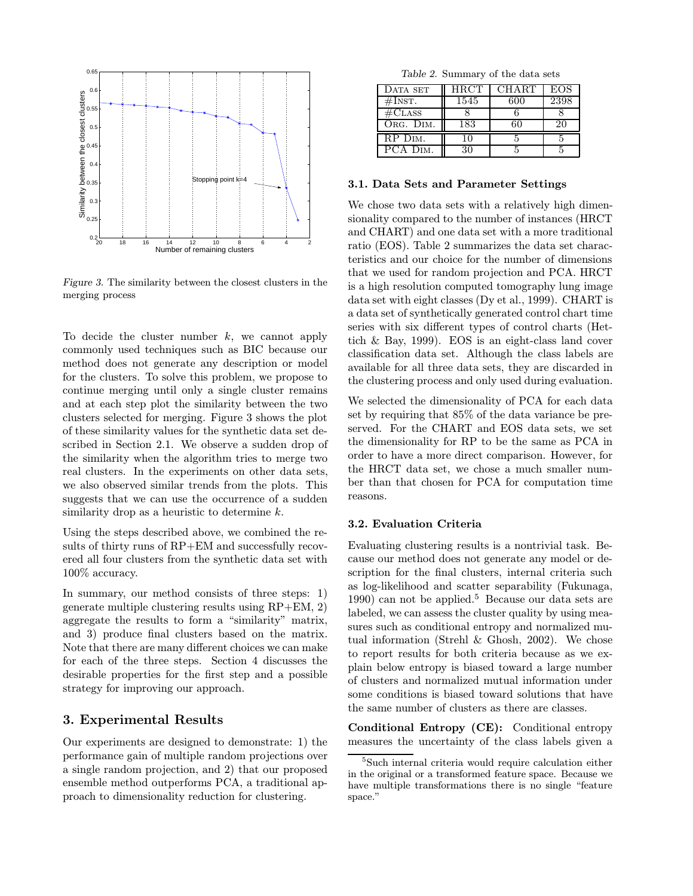

Figure 3. The similarity between the closest clusters in the merging process

To decide the cluster number  $k$ , we cannot apply commonly used techniques such as BIC because our method does not generate any description or model for the clusters. To solve this problem, we propose to continue merging until only a single cluster remains and at each step plot the similarity between the two clusters selected for merging. Figure 3 shows the plot of these similarity values for the synthetic data set described in Section 2.1. We observe a sudden drop of the similarity when the algorithm tries to merge two real clusters. In the experiments on other data sets, we also observed similar trends from the plots. This suggests that we can use the occurrence of a sudden similarity drop as a heuristic to determine  $k$ .

Using the steps described above, we combined the results of thirty runs of RP+EM and successfully recovered all four clusters from the synthetic data set with 100% accuracy.

In summary, our method consists of three steps: 1) generate multiple clustering results using RP+EM, 2) aggregate the results to form a "similarity" matrix, and 3) produce final clusters based on the matrix. Note that there are many different choices we can make for each of the three steps. Section 4 discusses the desirable properties for the first step and a possible strategy for improving our approach.

## 3. Experimental Results

Our experiments are designed to demonstrate: 1) the performance gain of multiple random projections over a single random projection, and 2) that our proposed ensemble method outperforms PCA, a traditional approach to dimensionality reduction for clustering.

|  | Table 2. Summary of the data sets |  |  |  |  |
|--|-----------------------------------|--|--|--|--|
|--|-----------------------------------|--|--|--|--|

| DATA SET             | HRCT | CHART | EOS. |
|----------------------|------|-------|------|
| #InST.               | 1545 | 600   | 2398 |
| $\#\text{CLASS}$     |      |       |      |
| ORG. DIM.            | 183  |       |      |
| RP D <sub>IM</sub> . |      |       |      |
| PCA DIM              |      |       |      |

#### 3.1. Data Sets and Parameter Settings

We chose two data sets with a relatively high dimensionality compared to the number of instances (HRCT and CHART) and one data set with a more traditional ratio (EOS). Table 2 summarizes the data set characteristics and our choice for the number of dimensions that we used for random projection and PCA. HRCT is a high resolution computed tomography lung image data set with eight classes (Dy et al., 1999). CHART is a data set of synthetically generated control chart time series with six different types of control charts (Hettich & Bay, 1999). EOS is an eight-class land cover classification data set. Although the class labels are available for all three data sets, they are discarded in the clustering process and only used during evaluation.

We selected the dimensionality of PCA for each data set by requiring that 85% of the data variance be preserved. For the CHART and EOS data sets, we set the dimensionality for RP to be the same as PCA in order to have a more direct comparison. However, for the HRCT data set, we chose a much smaller number than that chosen for PCA for computation time reasons.

### 3.2. Evaluation Criteria

Evaluating clustering results is a nontrivial task. Because our method does not generate any model or description for the final clusters, internal criteria such as log-likelihood and scatter separability (Fukunaga, 1990) can not be applied.<sup>5</sup> Because our data sets are labeled, we can assess the cluster quality by using measures such as conditional entropy and normalized mutual information (Strehl & Ghosh, 2002). We chose to report results for both criteria because as we explain below entropy is biased toward a large number of clusters and normalized mutual information under some conditions is biased toward solutions that have the same number of clusters as there are classes.

Conditional Entropy (CE): Conditional entropy measures the uncertainty of the class labels given a

<sup>5</sup>Such internal criteria would require calculation either in the original or a transformed feature space. Because we have multiple transformations there is no single "feature space."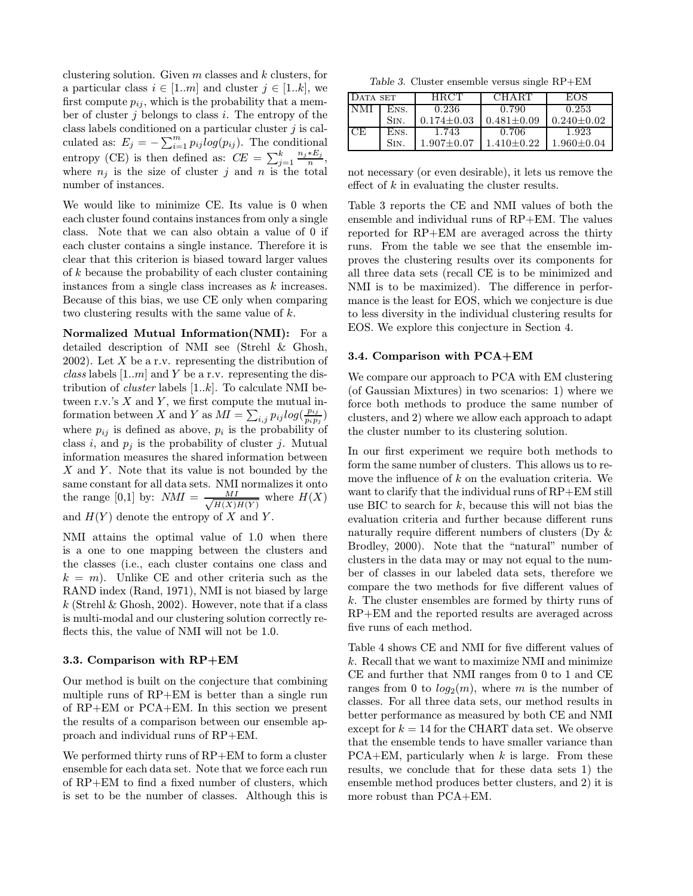clustering solution. Given  $m$  classes and  $k$  clusters, for a particular class  $i \in [1..m]$  and cluster  $j \in [1..k]$ , we first compute  $p_{ij}$ , which is the probability that a member of cluster  $j$  belongs to class  $i$ . The entropy of the class labels conditioned on a particular cluster  $j$  is calculated as:  $E_j = -\sum_{i=1}^m p_{ij} \log(p_{ij})$ . The conditional entropy (CE) is then defined as:  $CE = \sum_{j=1}^{k} \frac{n_j * E_j}{n}$ , where  $n_j$  is the size of cluster j and n is the total number of instances.

We would like to minimize CE. Its value is 0 when each cluster found contains instances from only a single class. Note that we can also obtain a value of 0 if each cluster contains a single instance. Therefore it is clear that this criterion is biased toward larger values of  $k$  because the probability of each cluster containing instances from a single class increases as k increases. Because of this bias, we use CE only when comparing two clustering results with the same value of k.

Normalized Mutual Information(NMI): For a detailed description of NMI see (Strehl & Ghosh, 2002). Let X be a r.v. representing the distribution of class labels  $[1..m]$  and Y be a r.v. representing the distribution of *cluster* labels  $[1..k]$ . To calculate NMI between r.v.'s  $X$  and  $Y$ , we first compute the mutual information between X and Y as  $\hat{MI} = \sum_{i,j} p_{ij} log(\frac{p_{ij}}{p_i p_j})$ where  $p_{ij}$  is defined as above,  $p_i$  is the probability of class i, and  $p_i$  is the probability of cluster j. Mutual information measures the shared information between  $X$  and  $Y$ . Note that its value is not bounded by the same constant for all data sets. NMI normalizes it onto the range [0,1] by:  $NMI = \frac{MI}{\sqrt{M}}$  $\frac{MI}{H(X)H(Y)}$  where  $H(X)$ and  $H(Y)$  denote the entropy of X and Y.

NMI attains the optimal value of 1.0 when there is a one to one mapping between the clusters and the classes (i.e., each cluster contains one class and  $k = m$ ). Unlike CE and other criteria such as the RAND index (Rand, 1971), NMI is not biased by large k (Strehl & Ghosh, 2002). However, note that if a class is multi-modal and our clustering solution correctly reflects this, the value of NMI will not be 1.0.

#### 3.3. Comparison with RP+EM

Our method is built on the conjecture that combining multiple runs of RP+EM is better than a single run of RP+EM or PCA+EM. In this section we present the results of a comparison between our ensemble approach and individual runs of RP+EM.

We performed thirty runs of RP+EM to form a cluster ensemble for each data set. Note that we force each run of RP+EM to find a fixed number of clusters, which is set to be the number of classes. Although this is

Table 3. Cluster ensemble versus single RP+EM

| DATA SET |      | <b>HRCT</b>      | <b>CHART</b>   | EOS              |
|----------|------|------------------|----------------|------------------|
| INMI     | ENS. | 0.236            | 0.790          | 0.253            |
|          | Sin. | $0.174 \pm 0.03$ | $0.481 + 0.09$ | $0.240 + 0.02$   |
| CE       | ENS. | 1.743            | 0.706          | 1.923            |
|          | Sin  | $1.907 + 0.07$   | $1.410 + 0.22$ | $1.960 \pm 0.04$ |

not necessary (or even desirable), it lets us remove the effect of  $k$  in evaluating the cluster results.

Table 3 reports the CE and NMI values of both the ensemble and individual runs of RP+EM. The values reported for RP+EM are averaged across the thirty runs. From the table we see that the ensemble improves the clustering results over its components for all three data sets (recall CE is to be minimized and NMI is to be maximized). The difference in performance is the least for EOS, which we conjecture is due to less diversity in the individual clustering results for EOS. We explore this conjecture in Section 4.

### 3.4. Comparison with PCA+EM

We compare our approach to PCA with EM clustering (of Gaussian Mixtures) in two scenarios: 1) where we force both methods to produce the same number of clusters, and 2) where we allow each approach to adapt the cluster number to its clustering solution.

In our first experiment we require both methods to form the same number of clusters. This allows us to remove the influence of  $k$  on the evaluation criteria. We want to clarify that the individual runs of RP+EM still use BIC to search for  $k$ , because this will not bias the evaluation criteria and further because different runs naturally require different numbers of clusters (Dy & Brodley, 2000). Note that the "natural" number of clusters in the data may or may not equal to the number of classes in our labeled data sets, therefore we compare the two methods for five different values of k. The cluster ensembles are formed by thirty runs of RP+EM and the reported results are averaged across five runs of each method.

Table 4 shows CE and NMI for five different values of k. Recall that we want to maximize NMI and minimize CE and further that NMI ranges from 0 to 1 and CE ranges from 0 to  $log_2(m)$ , where m is the number of classes. For all three data sets, our method results in better performance as measured by both CE and NMI except for  $k = 14$  for the CHART data set. We observe that the ensemble tends to have smaller variance than  $PCA+EM$ , particularly when k is large. From these results, we conclude that for these data sets 1) the ensemble method produces better clusters, and 2) it is more robust than PCA+EM.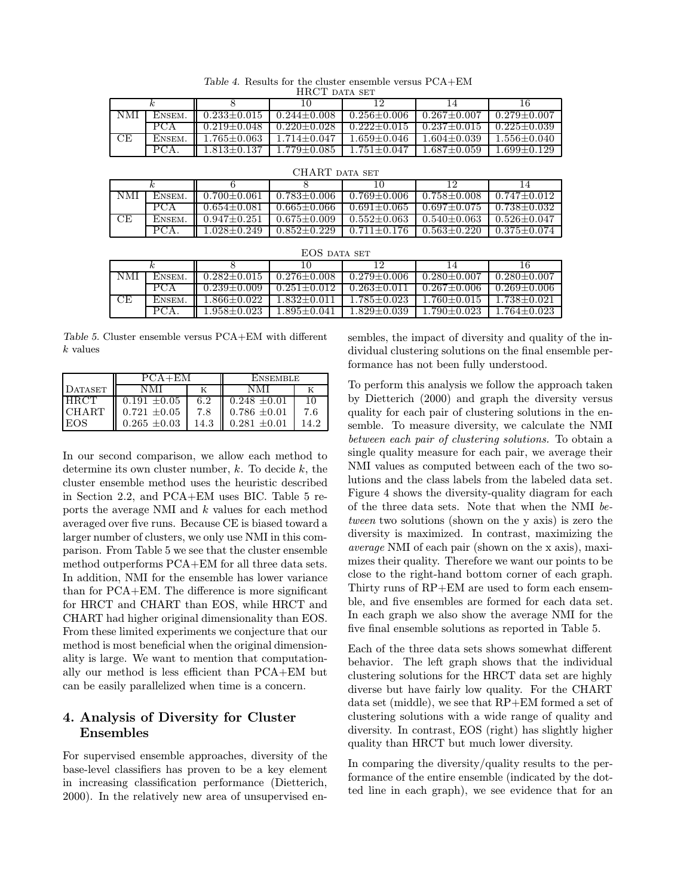|     |        |                   |                                       |                 |                                              | 16              |  |
|-----|--------|-------------------|---------------------------------------|-----------------|----------------------------------------------|-----------------|--|
| NMI | ENSEM. |                   | $0.233 + 0.015$ 0.244 + 0.008         | $0.256 + 0.006$ | $0.267 + 0.007$                              | $0.279 + 0.007$ |  |
|     | PCA    |                   | $0.219 \pm 0.048$ $0.220 \pm 0.028$   |                 | $-0.222+0.015$ $-0.237+0.015$ $-0.225+0.039$ |                 |  |
| CЕ  | ENSEM. |                   | $1.765 \pm 0.063$   $1.714 \pm 0.047$ | $1.659 + 0.046$ | $1.604 + 0.039$                              | $1.556 + 0.040$ |  |
|     | PCA.   | $1.813 \pm 0.137$ | $1.779{\pm}0.085$                     | $1.751 + 0.047$ | $1.687 + 0.059$                              | $1.699 + 0.129$ |  |

Table 4. Results for the cluster ensemble versus PCA+EM HRCT DATA SET

| UHARI DATA SET |        |                 |                 |                 |                   |                 |  |
|----------------|--------|-----------------|-----------------|-----------------|-------------------|-----------------|--|
|                |        |                 |                 |                 |                   | 14              |  |
| NMI            | ENSEM. | $0.700 + 0.061$ | $0.783 + 0.006$ | $0.769 + 0.006$ | $0.758 + 0.008$   | $0.747 + 0.012$ |  |
|                | PCA    | $0.654 + 0.081$ | $0.665 + 0.066$ | $0.691 + 0.065$ | $0.697 + 0.075$   | $0.738 + 0.032$ |  |
| CE             | ENSEM. | $0.947+0.251$   | $0.675 + 0.009$ | $0.552 + 0.063$ | $0.540 + 0.063$   | $0.526 + 0.047$ |  |
|                |        | 1.028+0.249     | $0.852+0.229$   | $0.711 + 0.176$ | $0.563 \pm 0.220$ | $0.375 + 0.074$ |  |

 $CTI$  and

|     | EOS DATA SET |                   |                   |                   |                 |                   |  |  |
|-----|--------------|-------------------|-------------------|-------------------|-----------------|-------------------|--|--|
|     | ĸ.           |                   | 10                | 19                | 14              | 16                |  |  |
| NMI | ENSEM.       | $0.282 + 0.015$   | $0.276 + 0.008$   | $0.279 + 0.006$   | $0.280 + 0.007$ | $0.280 + 0.007$   |  |  |
|     | PCA          | $0.239 + 0.009$   | $0.251 + 0.012$   | $0.263 + 0.011$   | $0.267 + 0.006$ | $0.269 + 0.006$   |  |  |
| CЕ  | ENSEM.       | $1.866 + 0.022$   | $1.832 + 0.011$   | $1.785 + 0.023$   | $1.760 + 0.015$ | $1.738 \pm 0.021$ |  |  |
|     | PCA.         | $1.958 \pm 0.023$ | $1.895 \pm 0.041$ | $1.829 \pm 0.039$ | $1.790 + 0.023$ | $.764 + 0.023$    |  |  |

Table 5. Cluster ensemble versus PCA+EM with different k values

|              | $PCA + EM$       |      | ENSEMBLE         |     |  |
|--------------|------------------|------|------------------|-----|--|
| DATASET      |                  |      |                  |     |  |
| LH RC'T      | $0.191 + 0.05$   | 6.2  | $0.248 \pm 0.01$ | 10  |  |
| <b>CHART</b> | $0.721 \pm 0.05$ | 7.8  | $0.786 \pm 0.01$ | 7.6 |  |
| EOS          | $0.265 \pm 0.03$ | 14.3 | $0.281 \pm 0.01$ |     |  |

In our second comparison, we allow each method to determine its own cluster number,  $k$ . To decide  $k$ , the cluster ensemble method uses the heuristic described in Section 2.2, and PCA+EM uses BIC. Table 5 reports the average NMI and k values for each method averaged over five runs. Because CE is biased toward a larger number of clusters, we only use NMI in this comparison. From Table 5 we see that the cluster ensemble method outperforms PCA+EM for all three data sets. In addition, NMI for the ensemble has lower variance than for PCA+EM. The difference is more significant for HRCT and CHART than EOS, while HRCT and CHART had higher original dimensionality than EOS. From these limited experiments we conjecture that our method is most beneficial when the original dimensionality is large. We want to mention that computationally our method is less efficient than PCA+EM but can be easily parallelized when time is a concern.

## 4. Analysis of Diversity for Cluster Ensembles

For supervised ensemble approaches, diversity of the base-level classifiers has proven to be a key element in increasing classification performance (Dietterich, 2000). In the relatively new area of unsupervised ensembles, the impact of diversity and quality of the individual clustering solutions on the final ensemble performance has not been fully understood.

To perform this analysis we follow the approach taken by Dietterich (2000) and graph the diversity versus quality for each pair of clustering solutions in the ensemble. To measure diversity, we calculate the NMI between each pair of clustering solutions. To obtain a single quality measure for each pair, we average their NMI values as computed between each of the two solutions and the class labels from the labeled data set. Figure 4 shows the diversity-quality diagram for each of the three data sets. Note that when the NMI between two solutions (shown on the y axis) is zero the diversity is maximized. In contrast, maximizing the average NMI of each pair (shown on the x axis), maximizes their quality. Therefore we want our points to be close to the right-hand bottom corner of each graph. Thirty runs of RP+EM are used to form each ensemble, and five ensembles are formed for each data set. In each graph we also show the average NMI for the five final ensemble solutions as reported in Table 5.

Each of the three data sets shows somewhat different behavior. The left graph shows that the individual clustering solutions for the HRCT data set are highly diverse but have fairly low quality. For the CHART data set (middle), we see that RP+EM formed a set of clustering solutions with a wide range of quality and diversity. In contrast, EOS (right) has slightly higher quality than HRCT but much lower diversity.

In comparing the diversity/quality results to the performance of the entire ensemble (indicated by the dotted line in each graph), we see evidence that for an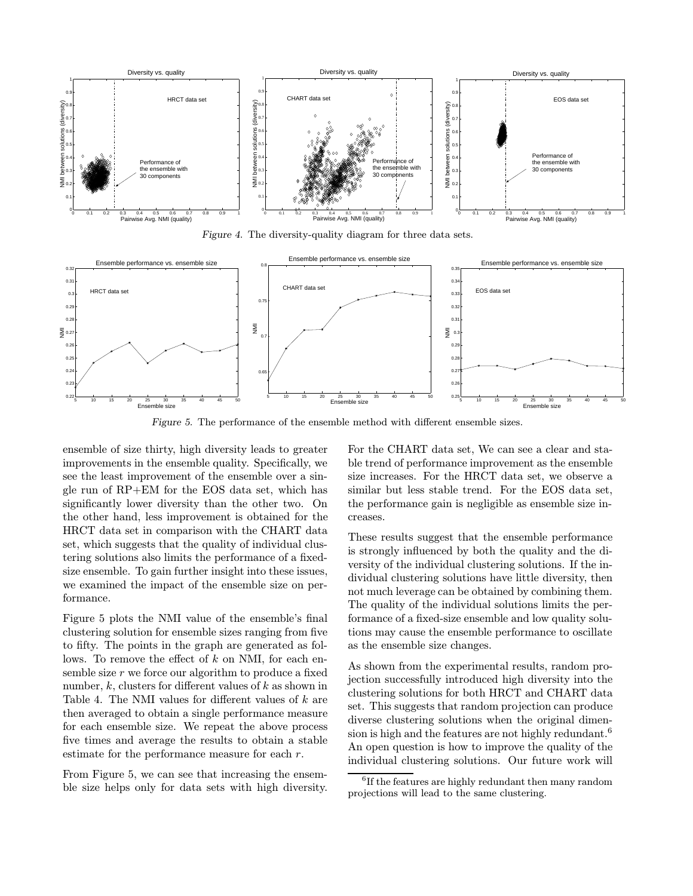

Figure 4. The diversity-quality diagram for three data sets.



Figure 5. The performance of the ensemble method with different ensemble sizes.

ensemble of size thirty, high diversity leads to greater improvements in the ensemble quality. Specifically, we see the least improvement of the ensemble over a single run of RP+EM for the EOS data set, which has significantly lower diversity than the other two. On the other hand, less improvement is obtained for the HRCT data set in comparison with the CHART data set, which suggests that the quality of individual clustering solutions also limits the performance of a fixedsize ensemble. To gain further insight into these issues, we examined the impact of the ensemble size on performance.

Figure 5 plots the NMI value of the ensemble's final clustering solution for ensemble sizes ranging from five to fifty. The points in the graph are generated as follows. To remove the effect of  $k$  on NMI, for each ensemble size  $r$  we force our algorithm to produce a fixed number,  $k$ , clusters for different values of  $k$  as shown in Table 4. The NMI values for different values of k are then averaged to obtain a single performance measure for each ensemble size. We repeat the above process five times and average the results to obtain a stable estimate for the performance measure for each r.

From Figure 5, we can see that increasing the ensemble size helps only for data sets with high diversity. For the CHART data set, We can see a clear and stable trend of performance improvement as the ensemble size increases. For the HRCT data set, we observe a similar but less stable trend. For the EOS data set, the performance gain is negligible as ensemble size increases.

These results suggest that the ensemble performance is strongly influenced by both the quality and the diversity of the individual clustering solutions. If the individual clustering solutions have little diversity, then not much leverage can be obtained by combining them. The quality of the individual solutions limits the performance of a fixed-size ensemble and low quality solutions may cause the ensemble performance to oscillate as the ensemble size changes.

As shown from the experimental results, random projection successfully introduced high diversity into the clustering solutions for both HRCT and CHART data set. This suggests that random projection can produce diverse clustering solutions when the original dimension is high and the features are not highly redundant.<sup>6</sup> An open question is how to improve the quality of the individual clustering solutions. Our future work will

 ${}^{6}$ If the features are highly redundant then many random projections will lead to the same clustering.